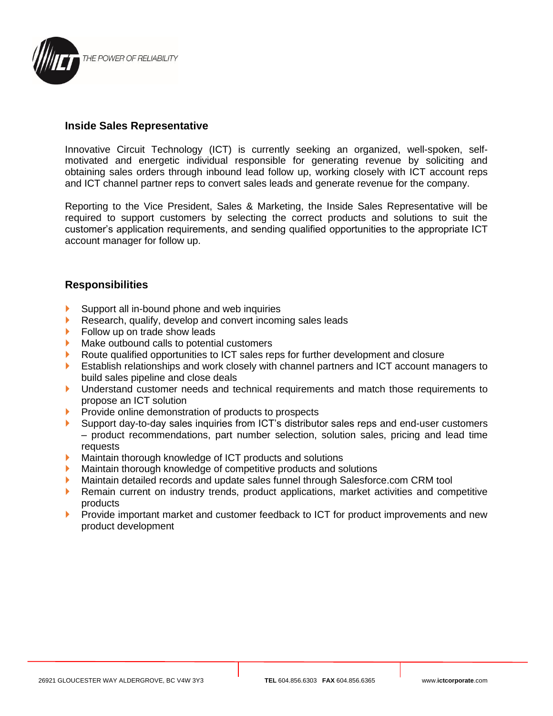

## **Inside Sales Representative**

Innovative Circuit Technology (ICT) is currently seeking an organized, well-spoken, selfmotivated and energetic individual responsible for generating revenue by soliciting and obtaining sales orders through inbound lead follow up, working closely with ICT account reps and ICT channel partner reps to convert sales leads and generate revenue for the company.

Reporting to the Vice President, Sales & Marketing, the Inside Sales Representative will be required to support customers by selecting the correct products and solutions to suit the customer's application requirements, and sending qualified opportunities to the appropriate ICT account manager for follow up.

## **Responsibilities**

- Support all in-bound phone and web inquiries
- Research, qualify, develop and convert incoming sales leads
- **Follow up on trade show leads**
- Make outbound calls to potential customers
- Route qualified opportunities to ICT sales reps for further development and closure
- Establish relationships and work closely with channel partners and ICT account managers to build sales pipeline and close deals
- Understand customer needs and technical requirements and match those requirements to propose an ICT solution
- Provide online demonstration of products to prospects
- Support day-to-day sales inquiries from ICT's distributor sales reps and end-user customers – product recommendations, part number selection, solution sales, pricing and lead time **requests**
- **Maintain thorough knowledge of ICT products and solutions**
- Maintain thorough knowledge of competitive products and solutions
- Maintain detailed records and update sales funnel through Salesforce.com CRM tool
- **Remain current on industry trends, product applications, market activities and competitive** products
- Provide important market and customer feedback to ICT for product improvements and new product development